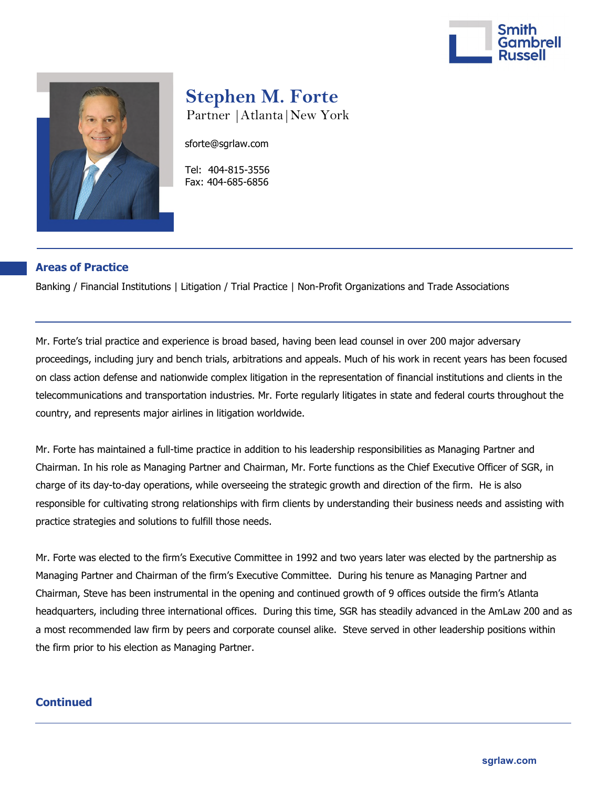



# **Stephen M. Forte**  Partner |Atlanta|New York

sforte@sgrlaw.com

 Tel: 404-815-3556 Fax: 404-685-6856

## **Areas of Practice**

Banking / Financial Institutions | Litigation / Trial Practice | Non-Profit Organizations and Trade Associations

Mr. Forte's trial practice and experience is broad based, having been lead counsel in over 200 major adversary proceedings, including jury and bench trials, arbitrations and appeals. Much of his work in recent years has been focused on class action defense and nationwide complex litigation in the representation of financial institutions and clients in the telecommunications and transportation industries. Mr. Forte regularly litigates in state and federal courts throughout the country, and represents major airlines in litigation worldwide.

Mr. Forte has maintained a full-time practice in addition to his leadership responsibilities as Managing Partner and Chairman. In his role as Managing Partner and Chairman, Mr. Forte functions as the Chief Executive Officer of SGR, in charge of its day-to-day operations, while overseeing the strategic growth and direction of the firm. He is also responsible for cultivating strong relationships with firm clients by understanding their business needs and assisting with practice strategies and solutions to fulfill those needs.

Mr. Forte was elected to the firm's Executive Committee in 1992 and two years later was elected by the partnership as Managing Partner and Chairman of the firm's Executive Committee. During his tenure as Managing Partner and Chairman, Steve has been instrumental in the opening and continued growth of 9 offices outside the firm's Atlanta headquarters, including three international offices. During this time, SGR has steadily advanced in the AmLaw 200 and as a most recommended law firm by peers and corporate counsel alike. Steve served in other leadership positions within the firm prior to his election as Managing Partner.

## **Continued**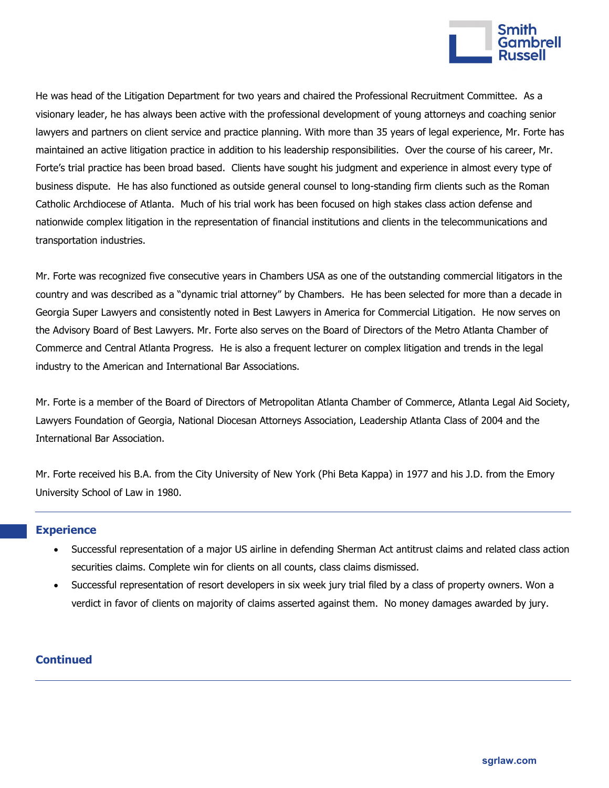

He was head of the Litigation Department for two years and chaired the Professional Recruitment Committee. As a visionary leader, he has always been active with the professional development of young attorneys and coaching senior lawyers and partners on client service and practice planning. With more than 35 years of legal experience, Mr. Forte has maintained an active litigation practice in addition to his leadership responsibilities. Over the course of his career, Mr. Forte's trial practice has been broad based. Clients have sought his judgment and experience in almost every type of business dispute. He has also functioned as outside general counsel to long-standing firm clients such as the Roman Catholic Archdiocese of Atlanta. Much of his trial work has been focused on high stakes class action defense and nationwide complex litigation in the representation of financial institutions and clients in the telecommunications and transportation industries.

Mr. Forte was recognized five consecutive years in Chambers USA as one of the outstanding commercial litigators in the country and was described as a "dynamic trial attorney" by Chambers. He has been selected for more than a decade in Georgia Super Lawyers and consistently noted in Best Lawyers in America for Commercial Litigation. He now serves on the Advisory Board of Best Lawyers. Mr. Forte also serves on the Board of Directors of the Metro Atlanta Chamber of Commerce and Central Atlanta Progress. He is also a frequent lecturer on complex litigation and trends in the legal industry to the American and International Bar Associations.

Mr. Forte is a member of the Board of Directors of Metropolitan Atlanta Chamber of Commerce, Atlanta Legal Aid Society, Lawyers Foundation of Georgia, National Diocesan Attorneys Association, Leadership Atlanta Class of 2004 and the International Bar Association.

Mr. Forte received his B.A. from the City University of New York (Phi Beta Kappa) in 1977 and his J.D. from the Emory University School of Law in 1980.

#### **Experience**

- Successful representation of a major US airline in defending Sherman Act antitrust claims and related class action securities claims. Complete win for clients on all counts, class claims dismissed.
- Successful representation of resort developers in six week jury trial filed by a class of property owners. Won a verdict in favor of clients on majority of claims asserted against them. No money damages awarded by jury.

#### **Continued**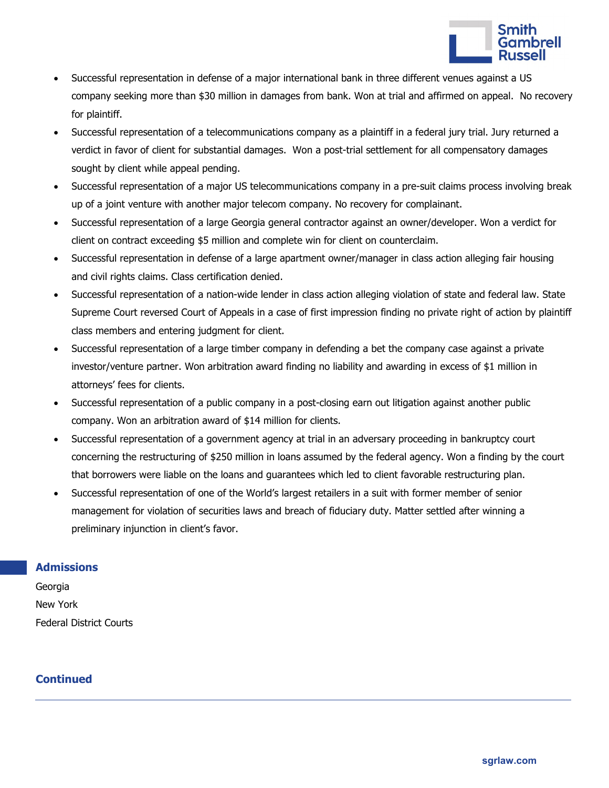

- Successful representation in defense of a major international bank in three different venues against a US company seeking more than \$30 million in damages from bank. Won at trial and affirmed on appeal. No recovery for plaintiff.
- Successful representation of a telecommunications company as a plaintiff in a federal jury trial. Jury returned a verdict in favor of client for substantial damages. Won a post-trial settlement for all compensatory damages sought by client while appeal pending.
- Successful representation of a major US telecommunications company in a pre-suit claims process involving break up of a joint venture with another major telecom company. No recovery for complainant.
- Successful representation of a large Georgia general contractor against an owner/developer. Won a verdict for client on contract exceeding \$5 million and complete win for client on counterclaim.
- Successful representation in defense of a large apartment owner/manager in class action alleging fair housing and civil rights claims. Class certification denied.
- Successful representation of a nation-wide lender in class action alleging violation of state and federal law. State Supreme Court reversed Court of Appeals in a case of first impression finding no private right of action by plaintiff class members and entering judgment for client.
- Successful representation of a large timber company in defending a bet the company case against a private investor/venture partner. Won arbitration award finding no liability and awarding in excess of \$1 million in attorneys' fees for clients.
- Successful representation of a public company in a post-closing earn out litigation against another public company. Won an arbitration award of \$14 million for clients.
- Successful representation of a government agency at trial in an adversary proceeding in bankruptcy court concerning the restructuring of \$250 million in loans assumed by the federal agency. Won a finding by the court that borrowers were liable on the loans and guarantees which led to client favorable restructuring plan.
- Successful representation of one of the World's largest retailers in a suit with former member of senior management for violation of securities laws and breach of fiduciary duty. Matter settled after winning a preliminary injunction in client's favor.

## **Admissions**

Georgia New York Federal District Courts

# **Continued**